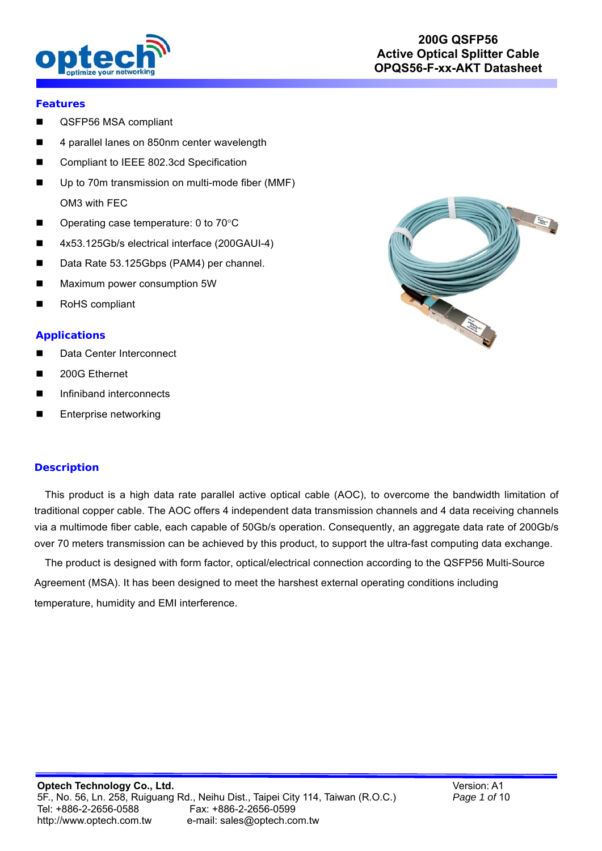

### **Features**

- QSFP56 MSA compliant
- 4 parallel lanes on 850nm center wavelength
- Compliant to IEEE 802.3cd Specification
- Up to 70m transmission on multi-mode fiber (MMF) OM3 with FEC
- Operating case temperature:  $0$  to  $70^{\circ}$ C
- 4x53.125Gb/s electrical interface (200GAUI-4)
- Data Rate 53.125Gbps (PAM4) per channel.
- **Maximum power consumption 5W**
- RoHS compliant

### **Applications**

- Data Center Interconnect
- 200G Ethernet
- Infiniband interconnects
- **Enterprise networking**

### **Description**

 This product is a high data rate parallel active optical cable (AOC), to overcome the bandwidth limitation of traditional copper cable. The AOC offers 4 independent data transmission channels and 4 data receiving channels via a multimode fiber cable, each capable of 50Gb/s operation. Consequently, an aggregate data rate of 200Gb/s over 70 meters transmission can be achieved by this product, to support the ultra-fast computing data exchange.

 The product is designed with form factor, optical/electrical connection according to the QSFP56 Multi-Source Agreement (MSA). It has been designed to meet the harshest external operating conditions including temperature, humidity and EMI interference.

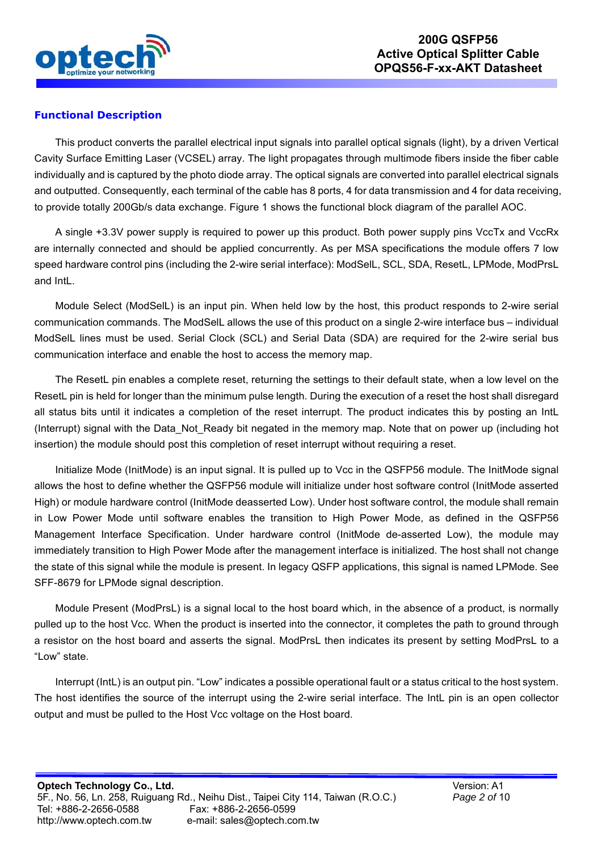

## **Functional Description**

This product converts the parallel electrical input signals into parallel optical signals (light), by a driven Vertical Cavity Surface Emitting Laser (VCSEL) array. The light propagates through multimode fibers inside the fiber cable individually and is captured by the photo diode array. The optical signals are converted into parallel electrical signals and outputted. Consequently, each terminal of the cable has 8 ports, 4 for data transmission and 4 for data receiving, to provide totally 200Gb/s data exchange. Figure 1 shows the functional block diagram of the parallel AOC.

A single +3.3V power supply is required to power up this product. Both power supply pins VccTx and VccRx are internally connected and should be applied concurrently. As per MSA specifications the module offers 7 low speed hardware control pins (including the 2-wire serial interface): ModSelL, SCL, SDA, ResetL, LPMode, ModPrsL and IntL.

Module Select (ModSelL) is an input pin. When held low by the host, this product responds to 2-wire serial communication commands. The ModSelL allows the use of this product on a single 2-wire interface bus – individual ModSelL lines must be used. Serial Clock (SCL) and Serial Data (SDA) are required for the 2-wire serial bus communication interface and enable the host to access the memory map.

The ResetL pin enables a complete reset, returning the settings to their default state, when a low level on the ResetL pin is held for longer than the minimum pulse length. During the execution of a reset the host shall disregard all status bits until it indicates a completion of the reset interrupt. The product indicates this by posting an IntL (Interrupt) signal with the Data\_Not\_Ready bit negated in the memory map. Note that on power up (including hot insertion) the module should post this completion of reset interrupt without requiring a reset.

Initialize Mode (InitMode) is an input signal. It is pulled up to Vcc in the QSFP56 module. The InitMode signal allows the host to define whether the QSFP56 module will initialize under host software control (InitMode asserted High) or module hardware control (InitMode deasserted Low). Under host software control, the module shall remain in Low Power Mode until software enables the transition to High Power Mode, as defined in the QSFP56 Management Interface Specification. Under hardware control (InitMode de-asserted Low), the module may immediately transition to High Power Mode after the management interface is initialized. The host shall not change the state of this signal while the module is present. In legacy QSFP applications, this signal is named LPMode. See SFF-8679 for LPMode signal description.

Module Present (ModPrsL) is a signal local to the host board which, in the absence of a product, is normally pulled up to the host Vcc. When the product is inserted into the connector, it completes the path to ground through a resistor on the host board and asserts the signal. ModPrsL then indicates its present by setting ModPrsL to a "Low" state.

Interrupt (IntL) is an output pin. "Low" indicates a possible operational fault or a status critical to the host system. The host identifies the source of the interrupt using the 2-wire serial interface. The IntL pin is an open collector output and must be pulled to the Host Vcc voltage on the Host board.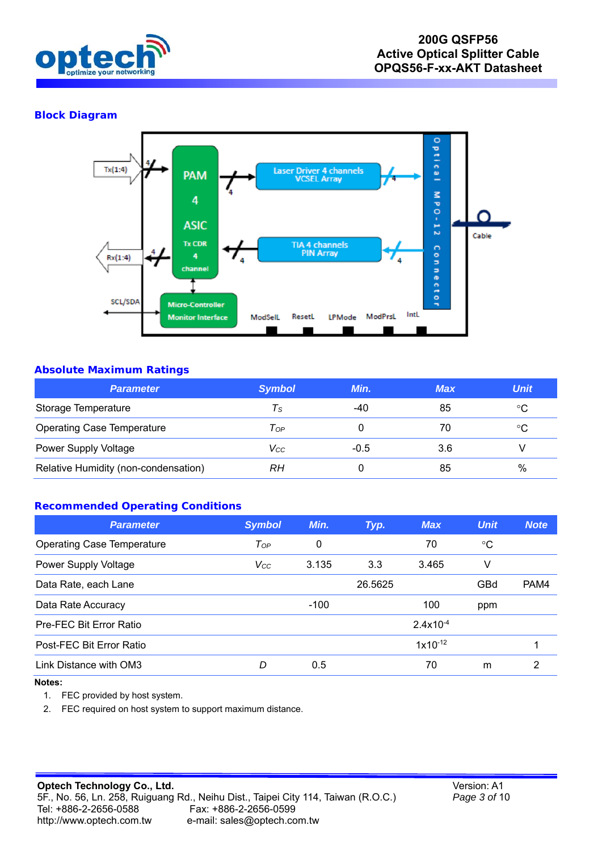

## **Block Diagram**



### **Absolute Maximum Ratings**

| <b>Parameter</b>                     | <b>Symbol</b> | Min.   | <b>Max</b> | <b>Unit</b> |
|--------------------------------------|---------------|--------|------------|-------------|
| Storage Temperature                  | Τs            | -40    | 85         | °C          |
| <b>Operating Case Temperature</b>    | Top           |        | 70         | °C          |
| Power Supply Voltage                 | Vcc           | $-0.5$ | 3.6        |             |
| Relative Humidity (non-condensation) | RΗ            |        | 85         | $\%$        |

## **Recommended Operating Conditions**

| <b>Parameter</b>                  | <b>Symbol</b> | Min.   | Typ.    | <b>Max</b>    | <b>Unit</b> | <b>Note</b> |
|-----------------------------------|---------------|--------|---------|---------------|-------------|-------------|
| <b>Operating Case Temperature</b> | $T_{OP}$      | 0      |         | 70            | °C          |             |
| Power Supply Voltage              | $V_{CC}$      | 3.135  | 3.3     | 3.465         | V           |             |
| Data Rate, each Lane              |               |        | 26.5625 |               | GBd         | PAM4        |
| Data Rate Accuracy                |               | $-100$ |         | 100           | ppm         |             |
| Pre-FEC Bit Error Ratio           |               |        |         | $2.4x10^{-4}$ |             |             |
| Post-FEC Bit Error Ratio          |               |        |         | $1x10^{-12}$  |             |             |
| Link Distance with OM3            | D             | 0.5    |         | 70            | m           | 2           |

#### **Notes:**

1. FEC provided by host system.

2. FEC required on host system to support maximum distance.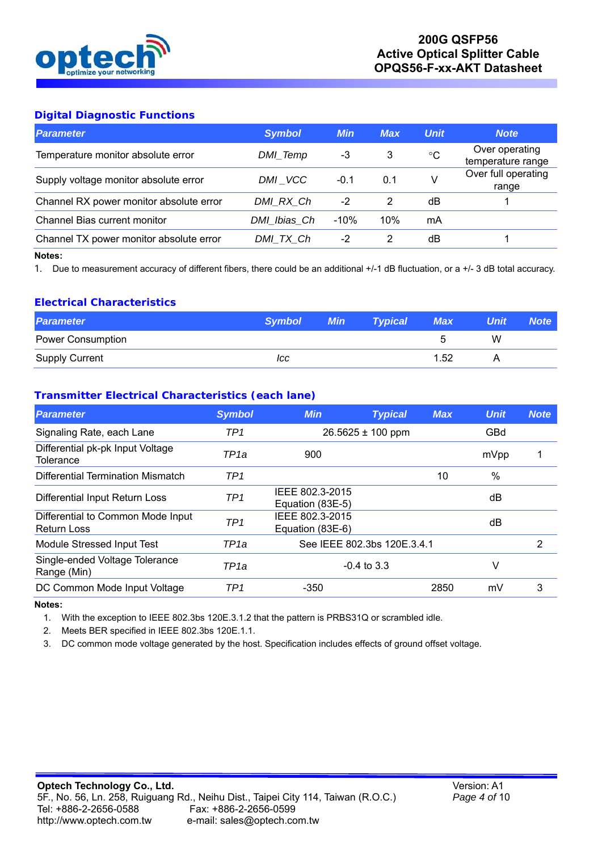

# **Digital Diagnostic Functions**

| <b>Symbol</b> | <b>Min</b> | <b>Max</b> | <b>Unit</b> | <b>Note</b>                         |
|---------------|------------|------------|-------------|-------------------------------------|
| DMI_Temp      | -3         | 3          | °C          | Over operating<br>temperature range |
| DMI VCC       | $-0.1$     | 0.1        | V           | Over full operating<br>range        |
| DMI RX Ch     | $-2$       | 2          | dΒ          |                                     |
| DMI Ibias Ch  | $-10%$     | 10%        | mA          |                                     |
| DMI TX Ch     | -2         | 2          | dΒ          |                                     |
|               |            |            |             |                                     |

#### **Notes:**

1. Due to measurement accuracy of different fibers, there could be an additional +/-1 dB fluctuation, or a +/- 3 dB total accuracy.

### **Electrical Characteristics**

| <b>Parameter</b>         | <b>Symbol</b> | <b>Min</b> | <b>Typical</b> | <b>Max</b> | <b>Unit</b> | <b>Note</b> |
|--------------------------|---------------|------------|----------------|------------|-------------|-------------|
| <b>Power Consumption</b> |               |            |                |            | W           |             |
| Supply Current           | ICC           |            |                | 1.52       |             |             |

### **Transmitter Electrical Characteristics (each lane)**

| <b>Parameter</b>                                        | <b>Symbol</b>    | <b>Min</b>                          | <b>Typical</b> | <b>Max</b> | <b>Unit</b> | <b>Note</b> |
|---------------------------------------------------------|------------------|-------------------------------------|----------------|------------|-------------|-------------|
| Signaling Rate, each Lane                               | TP <sub>1</sub>  | $26.5625 \pm 100$ ppm               |                |            | GBd         |             |
| Differential pk-pk Input Voltage<br>Tolerance           | TP <sub>1a</sub> | 900                                 |                |            | mVpp        |             |
| Differential Termination Mismatch                       | TP <sub>1</sub>  |                                     |                | 10         | $\%$        |             |
| Differential Input Return Loss                          | TP <sub>1</sub>  | IEEE 802.3-2015<br>Equation (83E-5) |                |            | dB          |             |
| Differential to Common Mode Input<br><b>Return Loss</b> | TP <sub>1</sub>  | IEEE 802.3-2015<br>Equation (83E-6) |                |            | dB          |             |
| Module Stressed Input Test                              | TP1a             | See IEEE 802.3bs 120E.3.4.1         |                |            |             | 2           |
| Single-ended Voltage Tolerance<br>Range (Min)           | TP1a             | $-0.4$ to 3.3                       |                |            | V           |             |
| DC Common Mode Input Voltage                            | TP <sub>1</sub>  | $-350$                              |                | 2850       | mV          | 3           |

#### **Notes:**

1. With the exception to IEEE 802.3bs 120E.3.1.2 that the pattern is PRBS31Q or scrambled idle.

2. Meets BER specified in IEEE 802.3bs 120E.1.1.

3. DC common mode voltage generated by the host. Specification includes effects of ground offset voltage.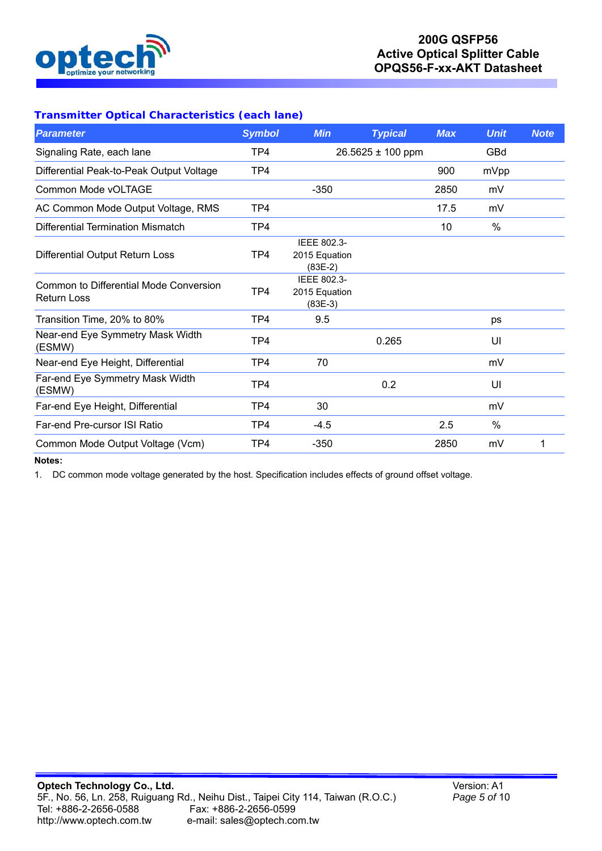

# **200G QSFP56 Active Optical Splitter Cable OPQS56-F-xx-AKT Datasheet**

I,

# **Transmitter Optical Characteristics (each lane)**

| <b>Parameter</b>                                                    | <b>Symbol</b> | <b>Min</b>                                | <b>Typical</b>        | <b>Max</b> | <b>Unit</b> | <b>Note</b> |
|---------------------------------------------------------------------|---------------|-------------------------------------------|-----------------------|------------|-------------|-------------|
| Signaling Rate, each lane                                           | TP4           |                                           | $26.5625 \pm 100$ ppm |            | GBd         |             |
| Differential Peak-to-Peak Output Voltage                            | TP4           |                                           |                       | 900        | mVpp        |             |
| Common Mode vOLTAGE                                                 |               | $-350$                                    |                       | 2850       | mV          |             |
| AC Common Mode Output Voltage, RMS                                  | TP4           |                                           |                       | 17.5       | mV          |             |
| Differential Termination Mismatch                                   | TP4           |                                           |                       | 10         | $\%$        |             |
| <b>Differential Output Return Loss</b>                              | TP4           | IEEE 802.3-<br>2015 Equation<br>$(83E-2)$ |                       |            |             |             |
| <b>Common to Differential Mode Conversion</b><br><b>Return Loss</b> | TP4           | IEEE 802.3-<br>2015 Equation<br>$(83E-3)$ |                       |            |             |             |
| Transition Time, 20% to 80%                                         | TP4           | 9.5                                       |                       |            | ps          |             |
| Near-end Eye Symmetry Mask Width<br>(ESMW)                          | TP4           |                                           | 0.265                 |            | UI          |             |
| Near-end Eye Height, Differential                                   | TP4           | 70                                        |                       |            | mV          |             |
| Far-end Eye Symmetry Mask Width<br>(ESMW)                           | TP4           |                                           | 0.2                   |            | UI          |             |
| Far-end Eye Height, Differential                                    | TP4           | 30                                        |                       |            | mV          |             |
| Far-end Pre-cursor ISI Ratio                                        | TP4           | $-4.5$                                    |                       | 2.5        | $\%$        |             |
| Common Mode Output Voltage (Vcm)                                    | TP4           | $-350$                                    |                       | 2850       | mV          | 1           |

# **Notes:**

1. DC common mode voltage generated by the host. Specification includes effects of ground offset voltage.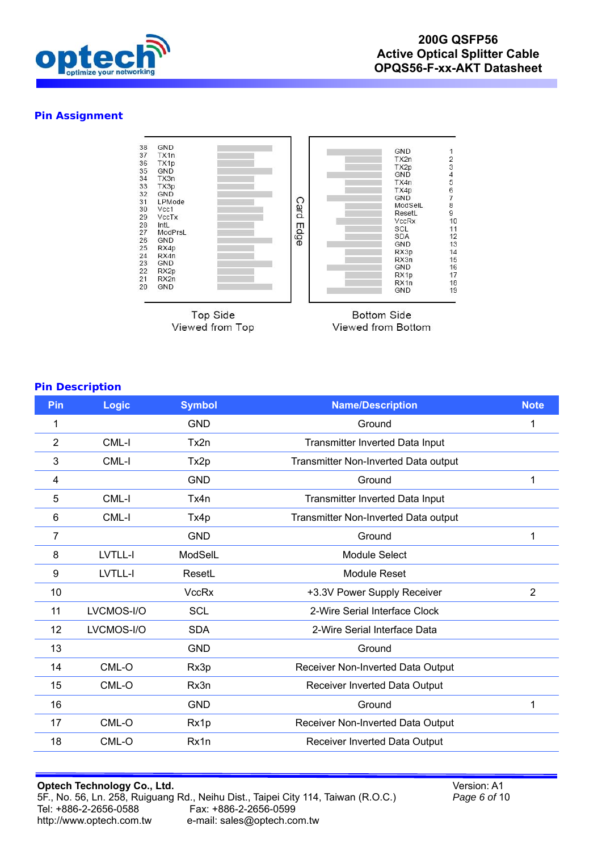

### **Pin Assignment**



**Top Side** Viewed from Top

**Bottom Side** Viewed from Bottom

#### **Pin Description**

| Pin            | Logic      | <b>Symbol</b> | <b>Name/Description</b>                | <b>Note</b>    |
|----------------|------------|---------------|----------------------------------------|----------------|
| 1              |            | <b>GND</b>    | Ground                                 | 1              |
| $\overline{2}$ | CML-I      | Tx2n          | Transmitter Inverted Data Input        |                |
| 3              | CML-I      | Tx2p          | Transmitter Non-Inverted Data output   |                |
| 4              |            | <b>GND</b>    | Ground                                 |                |
| 5              | CML-I      | Tx4n          | <b>Transmitter Inverted Data Input</b> |                |
| 6              | CML-I      | Tx4p          | Transmitter Non-Inverted Data output   |                |
| 7              |            | <b>GND</b>    | Ground                                 | 1              |
| 8              | LVTLL-I    | ModSelL       | Module Select                          |                |
| 9              | LVTLL-I    | ResetL        | <b>Module Reset</b>                    |                |
| 10             |            | <b>VccRx</b>  | +3.3V Power Supply Receiver            | $\overline{2}$ |
| 11             | LVCMOS-I/O | <b>SCL</b>    | 2-Wire Serial Interface Clock          |                |
| 12             | LVCMOS-I/O | <b>SDA</b>    | 2-Wire Serial Interface Data           |                |
| 13             |            | <b>GND</b>    | Ground                                 |                |
| 14             | CML-O      | Rx3p          | Receiver Non-Inverted Data Output      |                |
| 15             | CML-O      | Rx3n          | Receiver Inverted Data Output          |                |
| 16             |            | <b>GND</b>    | Ground                                 | 1              |
| 17             | CML-O      | Rx1p          | Receiver Non-Inverted Data Output      |                |
| 18             | CML-O      | Rx1n          | Receiver Inverted Data Output          |                |

Version: A1 *Page 6 of* 10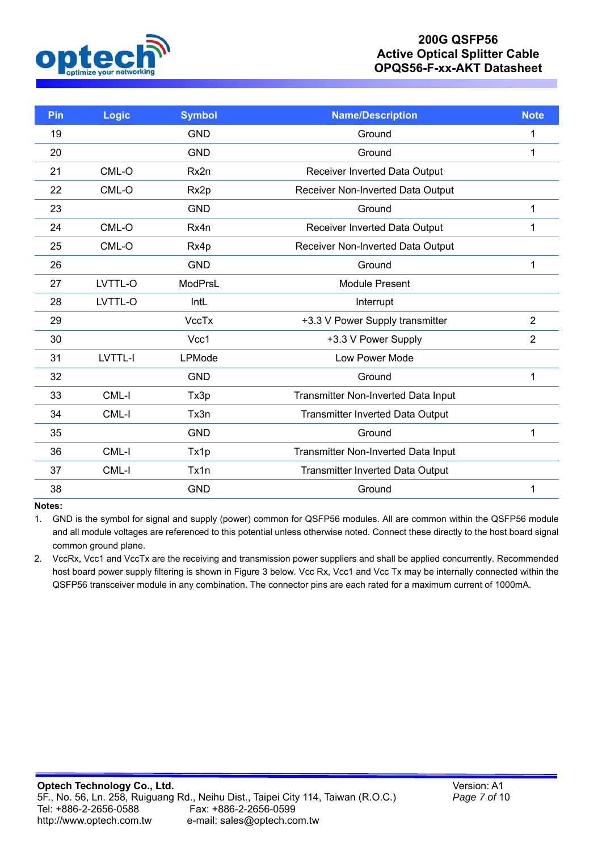

# **200G QSFP56 Active Optical Splitter Cable OPQS56-F-xx-AKT Datasheet**

I,

| Pin | Logic   | <b>Symbol</b>  | <b>Name/Description</b>                 | <b>Note</b>    |
|-----|---------|----------------|-----------------------------------------|----------------|
| 19  |         | <b>GND</b>     | Ground                                  | 1              |
| 20  |         | <b>GND</b>     | Ground                                  | 1              |
| 21  | CML-O   | Rx2n           | Receiver Inverted Data Output           |                |
| 22  | CML-O   | Rx2p           | Receiver Non-Inverted Data Output       |                |
| 23  |         | <b>GND</b>     | Ground                                  | 1              |
| 24  | CML-O   | Rx4n           | Receiver Inverted Data Output           | 1              |
| 25  | CML-O   | Rx4p           | Receiver Non-Inverted Data Output       |                |
| 26  |         | <b>GND</b>     | Ground                                  | 1              |
| 27  | LVTTL-O | <b>ModPrsL</b> | <b>Module Present</b>                   |                |
| 28  | LVTTL-O | IntL           | Interrupt                               |                |
| 29  |         | <b>VccTx</b>   | +3.3 V Power Supply transmitter         | $\overline{2}$ |
| 30  |         | Vcc1           | +3.3 V Power Supply                     | $\overline{2}$ |
| 31  | LVTTL-I | LPMode         | <b>Low Power Mode</b>                   |                |
| 32  |         | <b>GND</b>     | Ground                                  | 1              |
| 33  | CML-I   | Tx3p           | Transmitter Non-Inverted Data Input     |                |
| 34  | CML-I   | Tx3n           | <b>Transmitter Inverted Data Output</b> |                |
| 35  |         | <b>GND</b>     | Ground                                  | 1              |
| 36  | CML-I   | Tx1p           | Transmitter Non-Inverted Data Input     |                |
| 37  | CML-I   | Tx1n           | <b>Transmitter Inverted Data Output</b> |                |
| 38  |         | <b>GND</b>     | Ground                                  | 1              |

#### **Notes:**

1. GND is the symbol for signal and supply (power) common for QSFP56 modules. All are common within the QSFP56 module and all module voltages are referenced to this potential unless otherwise noted. Connect these directly to the host board signal common ground plane.

2. VccRx, Vcc1 and VccTx are the receiving and transmission power suppliers and shall be applied concurrently. Recommended host board power supply filtering is shown in Figure 3 below. Vcc Rx, Vcc1 and Vcc Tx may be internally connected within the QSFP56 transceiver module in any combination. The connector pins are each rated for a maximum current of 1000mA.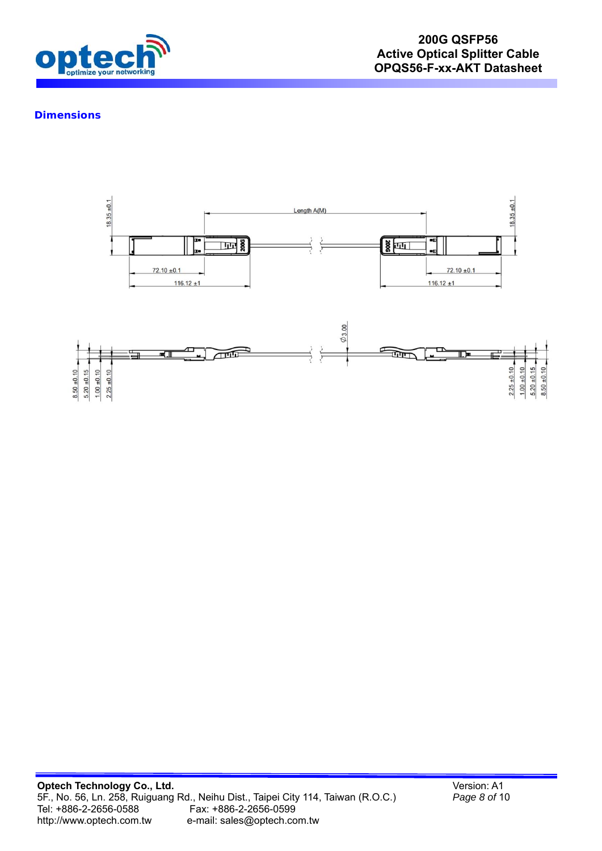

## **Dimensions**

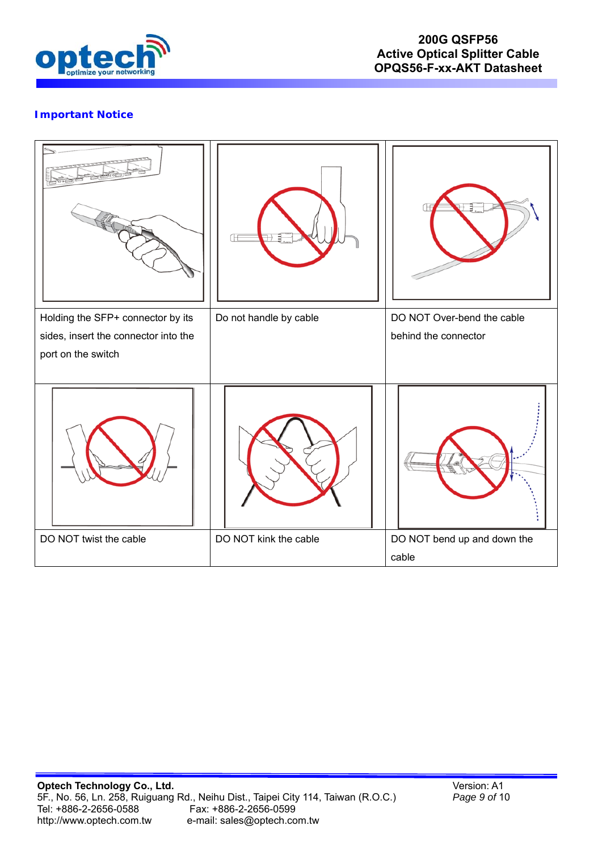

# **Important Notice**